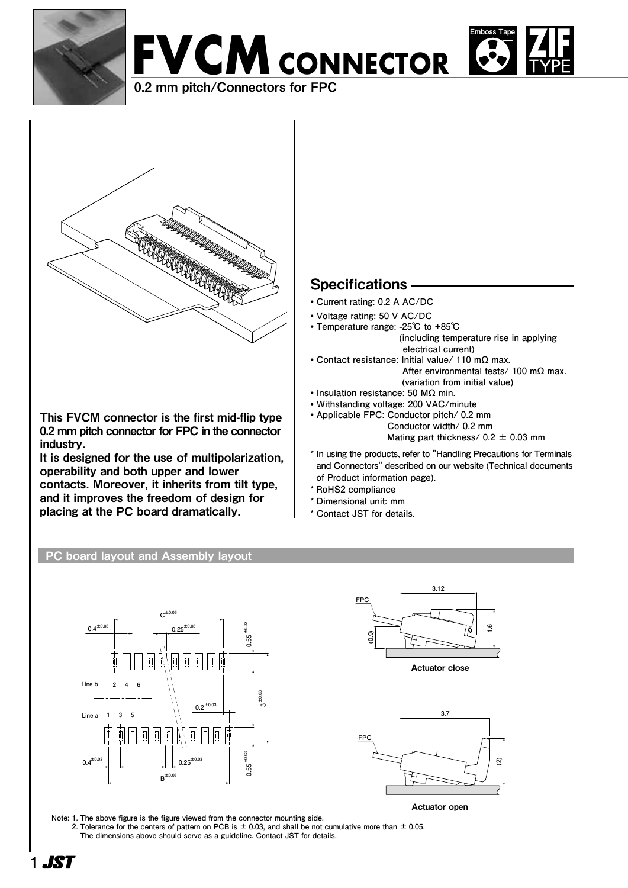







This FVCM connector is the first mid-flip type 0.2 mm pitch connector for FPC in the connector industry.

It is designed for the use of multipolarization, operability and both upper and lower contacts. Moreover, it inherits from tilt type, and it improves the freedom of design for placing at the PC board dramatically.

# **Specifications**

- **• Current rating: 0.2 A AC/DC**
- **• Voltage rating: 50 V AC/DC**
- **• Temperature range: -25℃ to +85℃ (including temperature rise in applying electrical current)**
- **• Contact resistance: Initial value/ 110 mΩ max. After environmental tests/ 100 mΩ max.**
- **(variation from initial value) • Insulation resistance: 50 MΩ min.**
- **• Withstanding voltage: 200 VAC/minute**
- **• Applicable FPC: Conductor pitch/ 0.2 mm Conductor width/ 0.2 mm Mating part thickness/ 0.2 ± 0.03 mm**
- **\* In using the products, refer to "Handling Precautions for Terminals and Connectors" described on our website (Technical documents of Product information page).**
- **\* RoHS2 compliance**
- **\* Dimensional unit: mm**
- **\* Contact JST for details.**

### PC board layout and Assembly layout



**(0.9) FPC 3.12 (0.9) 1.6 FPC** Actuator close



Actuator open

**Note: 1. The above figure is the figure viewed from the connector mounting side. 2. Tolerance for the centers of pattern on PCB is ± 0.03, and shall be not cumulative more than ± 0.05. The dimensions above should serve as a guideline. Contact JST for details.**